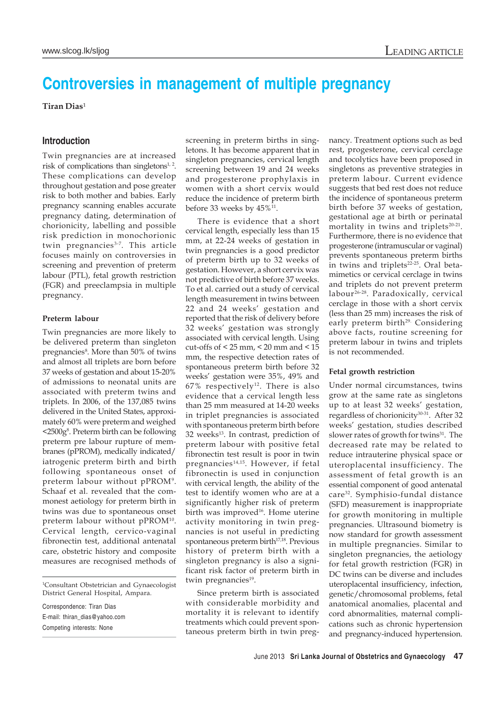# **Controversies in management of multiple pregnancy**

**Tiran Dias**<sup>1</sup>

## **Introduction**

Twin pregnancies are at increased risk of complications than singletons $1, 2$ . These complications can develop throughout gestation and pose greater risk to both mother and babies. Early pregnancy scanning enables accurate pregnancy dating, determination of chorionicity, labelling and possible risk prediction in monochorionic twin pregnancies<sup>3-7</sup>. This article focuses mainly on controversies in screening and prevention of preterm labour (PTL), fetal growth restriction (FGR) and preeclampsia in multiple pregnancy.

#### **Preterm labour**

Twin pregnancies are more likely to be delivered preterm than singleton pregnancies<sup>8</sup>. More than 50% of twins and almost all triplets are born before 37 weeks of gestation and about 15-20% of admissions to neonatal units are associated with preterm twins and triplets. In 2006, of the 137,085 twins delivered in the United States, approximately 60% were preterm and weighed <2500g8 . Preterm birth can be following preterm pre labour rupture of membranes (pPROM), medically indicated/ iatrogenic preterm birth and birth following spontaneous onset of preterm labour without pPROM9. Schaaf et al. revealed that the commonest aetiology for preterm birth in twins was due to spontaneous onset preterm labour without pPROM<sup>10</sup>. Cervical length, cervico-vaginal fibronectin test, additional antenatal care, obstetric history and composite measures are recognised methods of

1 Consultant Obstetrician and Gynaecologist District General Hospital, Ampara.

Correspondence: Tiran Dias E-mail: thiran\_dias@yahoo.com Competing interests: None

screening in preterm births in singletons. It has become apparent that in singleton pregnancies, cervical length screening between 19 and 24 weeks and progesterone prophylaxis in women with a short cervix would reduce the incidence of preterm birth before 33 weeks by  $45\%$ <sup>11</sup>.

There is evidence that a short cervical length, especially less than 15 mm, at 22-24 weeks of gestation in twin pregnancies is a good predictor of preterm birth up to 32 weeks of gestation. However, a short cervix was not predictive of birth before 37 weeks. To et al. carried out a study of cervical length measurement in twins between 22 and 24 weeks' gestation and reported that the risk of delivery before 32 weeks' gestation was strongly associated with cervical length. Using cut-offs of < 25 mm, < 20 mm and < 15 mm, the respective detection rates of spontaneous preterm birth before 32 weeks' gestation were 35%, 49% and  $67\%$  respectively<sup>12</sup>. There is also evidence that a cervical length less than 25 mm measured at 14-20 weeks in triplet pregnancies is associated with spontaneous preterm birth before 32 weeks<sup>13</sup>. In contrast, prediction of preterm labour with positive fetal fibronectin test result is poor in twin pregnancies 14,15. However, if fetal fibronectin is used in conjunction with cervical length, the ability of the test to identify women who are at a significantly higher risk of preterm birth was improved<sup>16</sup>. Home uterine activity monitoring in twin pregnancies is not useful in predicting spontaneous preterm birth<sup>17,18</sup>. Previous history of preterm birth with a singleton pregnancy is also a significant risk factor of preterm birth in twin pregnancies<sup>19</sup>.

Since preterm birth is associated with considerable morbidity and mortality it is relevant to identify treatments which could prevent spontaneous preterm birth in twin pregnancy. Treatment options such as bed rest, progesterone, cervical cerclage and tocolytics have been proposed in singletons as preventive strategies in preterm labour. Current evidence suggests that bed rest does not reduce the incidence of spontaneous preterm birth before 37 weeks of gestation, gestational age at birth or perinatal mortality in twins and triplets<sup>20-21</sup>. Furthermore, there is no evidence that progesterone (intramuscular or vaginal) prevents spontaneous preterm births in twins and triplets<sup>22-25</sup>. Oral betamimetics or cervical cerclage in twins and triplets do not prevent preterm labour 26-28. Paradoxically, cervical cerclage in those with a short cervix (less than 25 mm) increases the risk of early preterm birth<sup>29.</sup> Considering above facts, routine screening for preterm labour in twins and triplets is not recommended.

### **Fetal growth restriction**

Under normal circumstances, twins grow at the same rate as singletons up to at least 32 weeks' gestation, regardless of chorionicity<sup>30-31</sup>. After 32 weeks' gestation, studies described slower rates of growth for twins<sup>31</sup>. The decreased rate may be related to reduce intrauterine physical space or uteroplacental insufficiency. The assessment of fetal growth is an essential component of good antenatal care<sup>32</sup>. Symphisio-fundal distance (SFD) measurement is inappropriate for growth monitoring in multiple pregnancies. Ultrasound biometry is now standard for growth assessment in multiple pregnancies. Similar to singleton pregnancies, the aetiology for fetal growth restriction (FGR) in DC twins can be diverse and includes uteroplacental insufficiency, infection, genetic/chromosomal problems, fetal anatomical anomalies, placental and cord abnormalities, maternal complications such as chronic hypertension and pregnancy-induced hypertension.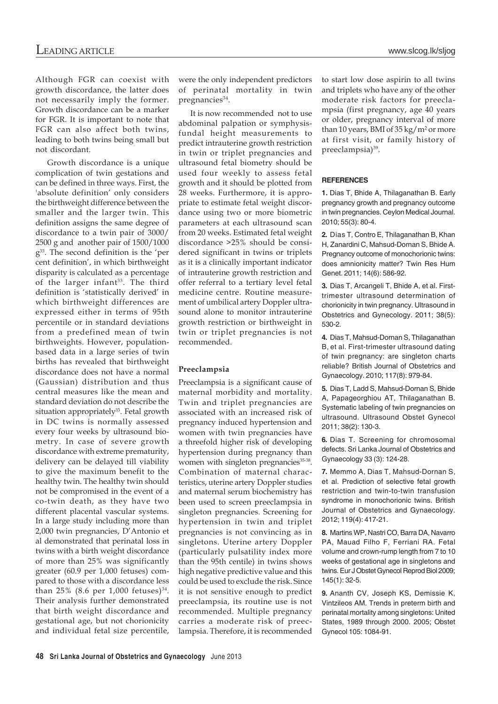Although FGR can coexist with growth discordance, the latter does not necessarily imply the former. Growth discordance can be a marker for FGR. It is important to note that FGR can also affect both twins, leading to both twins being small but not discordant.

Growth discordance is a unique complication of twin gestations and can be defined in three ways. First, the 'absolute definition' only considers the birthweight difference between the smaller and the larger twin. This definition assigns the same degree of discordance to a twin pair of 3000/ 2500 g and another pair of 1500/1000 g33. The second definition is the 'per cent definition', in which birthweight disparity is calculated as a percentage of the larger infant<sup>33</sup>. The third definition is 'statistically derived' in which birthweight differences are expressed either in terms of 95th percentile or in standard deviations from a predefined mean of twin birthweights. However, populationbased data in a large series of twin births has revealed that birthweight discordance does not have a normal (Gaussian) distribution and thus central measures like the mean and standard deviation do not describe the situation appropriately<sup>33</sup>. Fetal growth in DC twins is normally assessed every four weeks by ultrasound biometry. In case of severe growth discordance with extreme prematurity, delivery can be delayed till viability to give the maximum benefit to the healthy twin. The healthy twin should not be compromised in the event of a co-twin death, as they have two different placental vascular systems. In a large study including more than 2,000 twin pregnancies, D'Antonio et al demonstrated that perinatal loss in twins with a birth weight discordance of more than 25% was significantly greater (60.9 per 1,000 fetuses) compared to those with a discordance less than  $25\%$  (8.6 per 1,000 fetuses)<sup>34</sup>. Their analysis further demonstrated that birth weight discordance and gestational age, but not chorionicity and individual fetal size percentile,

were the only independent predictors of perinatal mortality in twin pregnancies<sup>34</sup>.

It is now recommended not to use abdominal palpation or symphysisfundal height measurements to predict intrauterine growth restriction in twin or triplet pregnancies and ultrasound fetal biometry should be used four weekly to assess fetal growth and it should be plotted from 28 weeks. Furthermore, it is appropriate to estimate fetal weight discordance using two or more biometric parameters at each ultrasound scan from 20 weeks. Estimated fetal weight discordance >25% should be considered significant in twins or triplets as it is a clinically important indicator of intrauterine growth restriction and offer referral to a tertiary level fetal medicine centre. Routine measurement of umbilical artery Doppler ultrasound alone to monitor intrauterine growth restriction or birthweight in twin or triplet pregnancies is not recommended.

### **Preeclampsia**

Preeclampsia is a significant cause of maternal morbidity and mortality. Twin and triplet pregnancies are associated with an increased risk of pregnancy induced hypertension and women with twin pregnancies have a threefold higher risk of developing hypertension during pregnancy than women with singleton pregnancies<sup>35-38</sup>. Combination of maternal characteristics, uterine artery Doppler studies and maternal serum biochemistry has been used to screen preeclampsia in singleton pregnancies. Screening for hypertension in twin and triplet pregnancies is not convincing as in singletons. Uterine artery Doppler (particularly pulsatility index more than the 95th centile) in twins shows high negative predictive value and this could be used to exclude the risk. Since it is not sensitive enough to predict preeclampsia, its routine use is not recommended. Multiple pregnancy carries a moderate risk of preeclampsia. Therefore, it is recommended to start low dose aspirin to all twins and triplets who have any of the other moderate risk factors for preeclampsia (first pregnancy, age 40 years or older, pregnancy interval of more than 10 years, BMI of  $35 \text{ kg/m}^2$  or more at first visit, or family history of preeclampsia)<sup>39</sup>.

### **REFERENCES**

**1.** Dias T, Bhide A, Thilaganathan B. Early pregnancy growth and pregnancy outcome in twin pregnancies. Ceylon Medical Journal. 2010; 55(3): 80-4.

**2.** Dias T, Contro E, Thilaganathan B, Khan H, Zanardini C, Mahsud-Dornan S, Bhide A. Pregnancy outcome of monochorionic twins: does amnionicity matter? Twin Res Hum Genet. 2011; 14(6): 586-92.

**3.** Dias T, Arcangeli T, Bhide A, et al. Firsttrimester ultrasound determination of chorionicity in twin pregnancy. Ultrasound in Obstetrics and Gynecology. 2011; 38(5): 530-2.

**4.** Dias T, Mahsud-Dornan S, Thilaganathan B, et al. First-trimester ultrasound dating of twin pregnancy: are singleton charts reliable? British Journal of Obstetrics and Gynaecology. 2010; 117(8): 979-84.

**5.** Dias T, Ladd S, Mahsud-Dornan S, Bhide A, Papageorghiou AT, Thilaganathan B. Systematic labeling of twin pregnancies on ultrasound. Ultrasound Obstet Gynecol 2011; 38(2): 130-3.

**6.** Dias T. Screening for chromosomal defects. Sri Lanka Journal of Obstetrics and Gynaecology 33 (3): 124-28.

**7.** Memmo A, Dias T, Mahsud-Dornan S, et al. Prediction of selective fetal growth restriction and twin-to-twin transfusion syndrome in monochorionic twins. British Journal of Obstetrics and Gynaecology. 2012; 119(4): 417-21.

**8.** Martins WP, Nastri CO, Barra DA, Navarro PA, Mauad Filho F, Ferriani RA. Fetal volume and crown-rump length from 7 to 10 weeks of gestational age in singletons and twins. Eur J Obstet Gynecol Reprod Biol 2009; 145(1): 32-5.

**9.** Ananth CV, Joseph KS, Demissie K, Vintzileos AM. Trends in preterm birth and perinatal mortality among singletons: United States, 1989 through 2000. 2005; Obstet Gynecol 105: 1084-91.